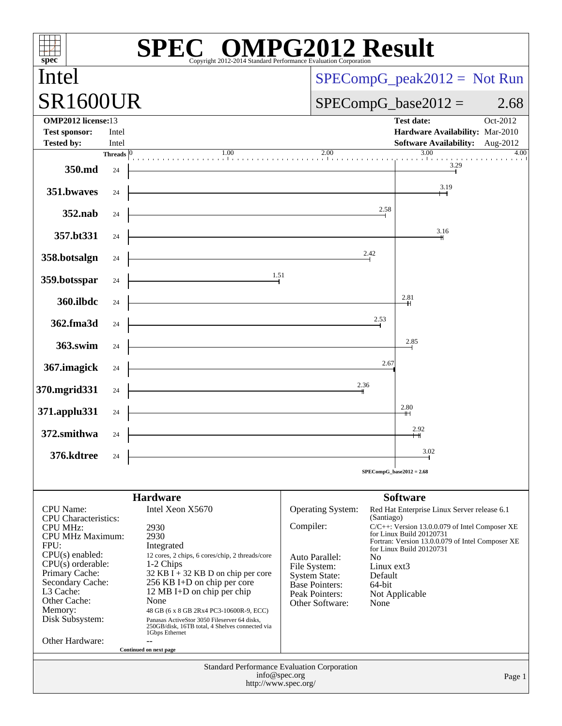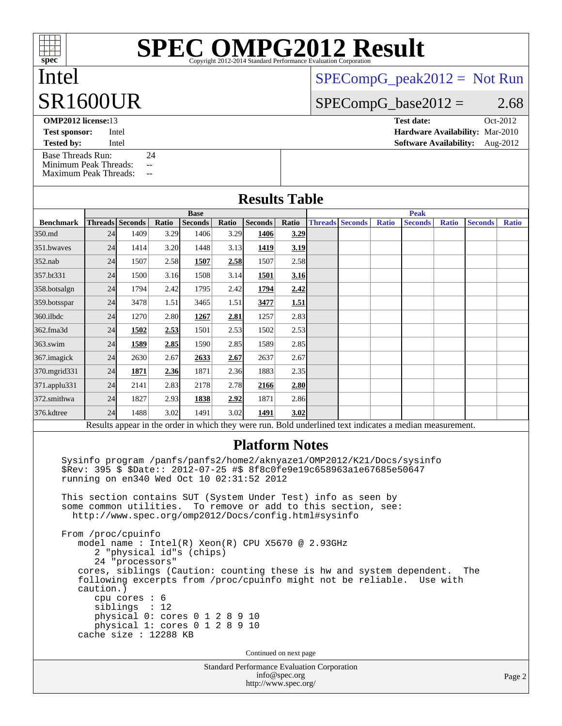# **[SPEC OMPG2012 Result](http://www.spec.org/auto/omp2012/Docs/result-fields.html#SPECOMPG2012Result)**

## Intel SR1600UR

[SPECompG\\_peak2012 =](http://www.spec.org/auto/omp2012/Docs/result-fields.html#SPECompGpeak2012) Not Run

 $SPECompG_base2012 = 2.68$  $SPECompG_base2012 = 2.68$ 

**[OMP2012 license:](http://www.spec.org/auto/omp2012/Docs/result-fields.html#OMP2012license)**13 **[Test date:](http://www.spec.org/auto/omp2012/Docs/result-fields.html#Testdate)** Oct-2012 **[Test sponsor:](http://www.spec.org/auto/omp2012/Docs/result-fields.html#Testsponsor)** Intel **[Hardware Availability:](http://www.spec.org/auto/omp2012/Docs/result-fields.html#HardwareAvailability)** Mar-2010

**[Tested by:](http://www.spec.org/auto/omp2012/Docs/result-fields.html#Testedby)** Intel **[Software Availability:](http://www.spec.org/auto/omp2012/Docs/result-fields.html#SoftwareAvailability)** Aug-2012

[Base Threads Run:](http://www.spec.org/auto/omp2012/Docs/result-fields.html#BaseThreadsRun) 24 [Minimum Peak Threads:](http://www.spec.org/auto/omp2012/Docs/result-fields.html#MinimumPeakThreads) --<br>Maximum Peak Threads: --

[Maximum Peak Threads:](http://www.spec.org/auto/omp2012/Docs/result-fields.html#MaximumPeakThreads)

|                  | <b>Base</b>            |                                                                                                                                                                                                                                                                                                                                                                                                                                                                   |       |         |       |                                        |                       |  | <b>Peak</b>            |              |                                                                                                                                               |              |                |              |  |
|------------------|------------------------|-------------------------------------------------------------------------------------------------------------------------------------------------------------------------------------------------------------------------------------------------------------------------------------------------------------------------------------------------------------------------------------------------------------------------------------------------------------------|-------|---------|-------|----------------------------------------|-----------------------|--|------------------------|--------------|-----------------------------------------------------------------------------------------------------------------------------------------------|--------------|----------------|--------------|--|
| <b>Benchmark</b> | <b>Threads</b> Seconds |                                                                                                                                                                                                                                                                                                                                                                                                                                                                   | Ratio | Seconds | Ratio | <b>Seconds</b>                         | <b>Ratio</b>          |  | <b>Threads Seconds</b> | <b>Ratio</b> | <b>Seconds</b>                                                                                                                                | <b>Ratio</b> | <b>Seconds</b> | <b>Ratio</b> |  |
| 350.md           | 24                     | 1409                                                                                                                                                                                                                                                                                                                                                                                                                                                              | 3.29  | 1406    | 3.29  | 1406                                   | 3.29                  |  |                        |              |                                                                                                                                               |              |                |              |  |
| 351.bwayes       | 24                     | 1414                                                                                                                                                                                                                                                                                                                                                                                                                                                              | 3.20  | 1448    | 3.13  | 1419                                   | 3.19                  |  |                        |              |                                                                                                                                               |              |                |              |  |
| 352.nab          | 24                     | 1507                                                                                                                                                                                                                                                                                                                                                                                                                                                              | 2.58  | 1507    | 2.58  | 1507                                   | 2.58                  |  |                        |              |                                                                                                                                               |              |                |              |  |
| 357.bt331        | 24                     | 1500                                                                                                                                                                                                                                                                                                                                                                                                                                                              | 3.16  | 1508    | 3.14  | 1501                                   | 3.16                  |  |                        |              |                                                                                                                                               |              |                |              |  |
| 358.botsalgn     | 24                     | 1794                                                                                                                                                                                                                                                                                                                                                                                                                                                              | 2.42  | 1795    | 2.42  | 1794                                   | 2.42                  |  |                        |              |                                                                                                                                               |              |                |              |  |
| 359.botsspar     | 24                     | 3478                                                                                                                                                                                                                                                                                                                                                                                                                                                              | 1.51  | 3465    | 1.51  | 3477                                   | 1.51                  |  |                        |              |                                                                                                                                               |              |                |              |  |
| 360.ilbdc        | 24                     | 1270                                                                                                                                                                                                                                                                                                                                                                                                                                                              | 2.80  | 1267    | 2.81  | 1257                                   | 2.83                  |  |                        |              |                                                                                                                                               |              |                |              |  |
| 362.fma3d        | 24                     | 1502                                                                                                                                                                                                                                                                                                                                                                                                                                                              | 2.53  | 1501    | 2.53  | 1502                                   | 2.53                  |  |                        |              |                                                                                                                                               |              |                |              |  |
| 363.swim         | 24                     | 1589                                                                                                                                                                                                                                                                                                                                                                                                                                                              | 2.85  | 1590    | 2.85  | 1589                                   | 2.85                  |  |                        |              |                                                                                                                                               |              |                |              |  |
| 367.imagick      | 24                     | 2630                                                                                                                                                                                                                                                                                                                                                                                                                                                              | 2.67  | 2633    | 2.67  | 2637                                   | 2.67                  |  |                        |              |                                                                                                                                               |              |                |              |  |
| 370.mgrid331     | 24                     | 1871                                                                                                                                                                                                                                                                                                                                                                                                                                                              | 2.36  | 1871    | 2.36  | 1883                                   | 2.35                  |  |                        |              |                                                                                                                                               |              |                |              |  |
| 371.applu331     | 24                     | 2141                                                                                                                                                                                                                                                                                                                                                                                                                                                              | 2.83  | 2178    | 2.78  | 2166                                   | 2.80                  |  |                        |              |                                                                                                                                               |              |                |              |  |
| 372.smithwa      | 24                     | 1827                                                                                                                                                                                                                                                                                                                                                                                                                                                              | 2.93  | 1838    | 2.92  | 1871                                   | 2.86                  |  |                        |              |                                                                                                                                               |              |                |              |  |
| 376.kdtree       | 24                     | 1488                                                                                                                                                                                                                                                                                                                                                                                                                                                              | 3.02  | 1491    | 3.02  | 1491                                   | 3.02                  |  |                        |              |                                                                                                                                               |              |                |              |  |
|                  |                        |                                                                                                                                                                                                                                                                                                                                                                                                                                                                   |       |         |       |                                        |                       |  |                        |              | Results appear in the order in which they were run. Bold underlined text indicates a median measurement.                                      |              |                |              |  |
|                  |                        |                                                                                                                                                                                                                                                                                                                                                                                                                                                                   |       |         |       |                                        | <b>Platform Notes</b> |  |                        |              | Sysinfo program /panfs/panfs2/home2/aknyaze1/OMP2012/K21/Docs/sysinfo                                                                         |              |                |              |  |
|                  | caution.)              | \$Rev: 395 \$ \$Date:: 2012-07-25 #\$ 8f8c0fe9e19c658963a1e67685e50647<br>running on en340 Wed Oct 10 02:31:52 2012<br>This section contains SUT (System Under Test) info as seen by<br>some common utilities.<br>http://www.spec.org/omp2012/Docs/config.html#sysinfo<br>From /proc/cpuinfo<br>model name : Intel(R) Xeon(R) CPU X5670 @ 2.93GHz<br>2 "physical id"s (chips)<br>24 "processors"<br>cpu cores $: 6$<br>siblings<br>physical 0: cores 0 1 2 8 9 10 | : 12  |         |       | To remove or add to this section, see: |                       |  |                        |              | cores, siblings (Caution: counting these is hw and system dependent.<br>following excerpts from /proc/cpuinfo might not be reliable. Use with |              | The            |              |  |
|                  |                        | physical 1: cores 0 1 2 8 9 10<br>cache size : 12288 KB                                                                                                                                                                                                                                                                                                                                                                                                           |       |         |       | Continued on next page                 |                       |  |                        |              |                                                                                                                                               |              |                |              |  |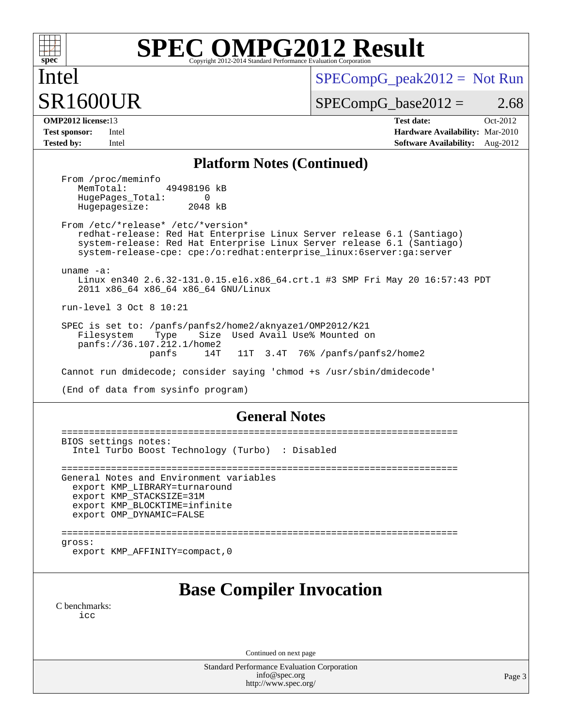

# **[SPEC OMPG2012 Result](http://www.spec.org/auto/omp2012/Docs/result-fields.html#SPECOMPG2012Result)**

 $SPECompG_peak2012 = Not Run$  $SPECompG_peak2012 = Not Run$ 

Intel SR1600UR

 $SPECompG_base2012 = 2.68$  $SPECompG_base2012 = 2.68$ 

**[OMP2012 license:](http://www.spec.org/auto/omp2012/Docs/result-fields.html#OMP2012license)**13 **[Test date:](http://www.spec.org/auto/omp2012/Docs/result-fields.html#Testdate)** Oct-2012 **[Test sponsor:](http://www.spec.org/auto/omp2012/Docs/result-fields.html#Testsponsor)** Intel **[Hardware Availability:](http://www.spec.org/auto/omp2012/Docs/result-fields.html#HardwareAvailability)** Mar-2010 **[Tested by:](http://www.spec.org/auto/omp2012/Docs/result-fields.html#Testedby)** Intel **[Software Availability:](http://www.spec.org/auto/omp2012/Docs/result-fields.html#SoftwareAvailability)** Aug-2012

#### **[Platform Notes \(Continued\)](http://www.spec.org/auto/omp2012/Docs/result-fields.html#PlatformNotes)**

From /proc/meminfo<br>MemTotal: 49498196 kB HugePages\_Total: 0<br>Hugepagesize: 2048 kB Hugepagesize:

 From /etc/\*release\* /etc/\*version\* redhat-release: Red Hat Enterprise Linux Server release 6.1 (Santiago) system-release: Red Hat Enterprise Linux Server release 6.1 (Santiago) system-release-cpe: cpe:/o:redhat:enterprise\_linux:6server:ga:server

uname -a:

 Linux en340 2.6.32-131.0.15.el6.x86\_64.crt.1 #3 SMP Fri May 20 16:57:43 PDT 2011 x86\_64 x86\_64 x86\_64 GNU/Linux

run-level 3 Oct 8 10:21

 SPEC is set to: /panfs/panfs2/home2/aknyaze1/OMP2012/K21 Filesystem Type Size Used Avail Use% Mounted on panfs://36.107.212.1/home2 11T 3.4T 76% /panfs/panfs2/home2

Cannot run dmidecode; consider saying 'chmod +s /usr/sbin/dmidecode'

(End of data from sysinfo program)

#### **[General Notes](http://www.spec.org/auto/omp2012/Docs/result-fields.html#GeneralNotes)**

```
 ========================================================================
BIOS settings notes:
  Intel Turbo Boost Technology (Turbo) : Disabled
========================================================================
General Notes and Environment variables
  export KMP_LIBRARY=turnaround
  export KMP_STACKSIZE=31M
  export KMP_BLOCKTIME=infinite
  export OMP_DYNAMIC=FALSE
========================================================================
gross:
  export KMP_AFFINITY=compact,0
```
### **[Base Compiler Invocation](http://www.spec.org/auto/omp2012/Docs/result-fields.html#BaseCompilerInvocation)**

[C benchmarks](http://www.spec.org/auto/omp2012/Docs/result-fields.html#Cbenchmarks): [icc](http://www.spec.org/omp2012/results/res2012q4/omp2012-20121011-00015.flags.html#user_CCbase_intel_icc_a87c68a857bc5ec5362391a49d3a37a6)

Continued on next page

Standard Performance Evaluation Corporation [info@spec.org](mailto:info@spec.org) <http://www.spec.org/>